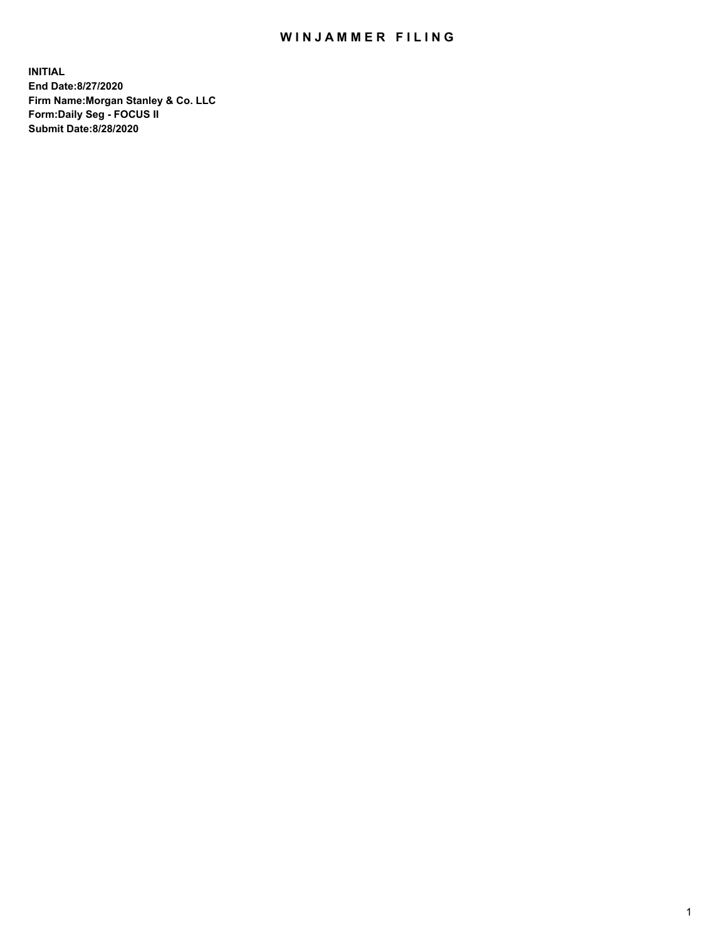## WIN JAMMER FILING

**INITIAL End Date:8/27/2020 Firm Name:Morgan Stanley & Co. LLC Form:Daily Seg - FOCUS II Submit Date:8/28/2020**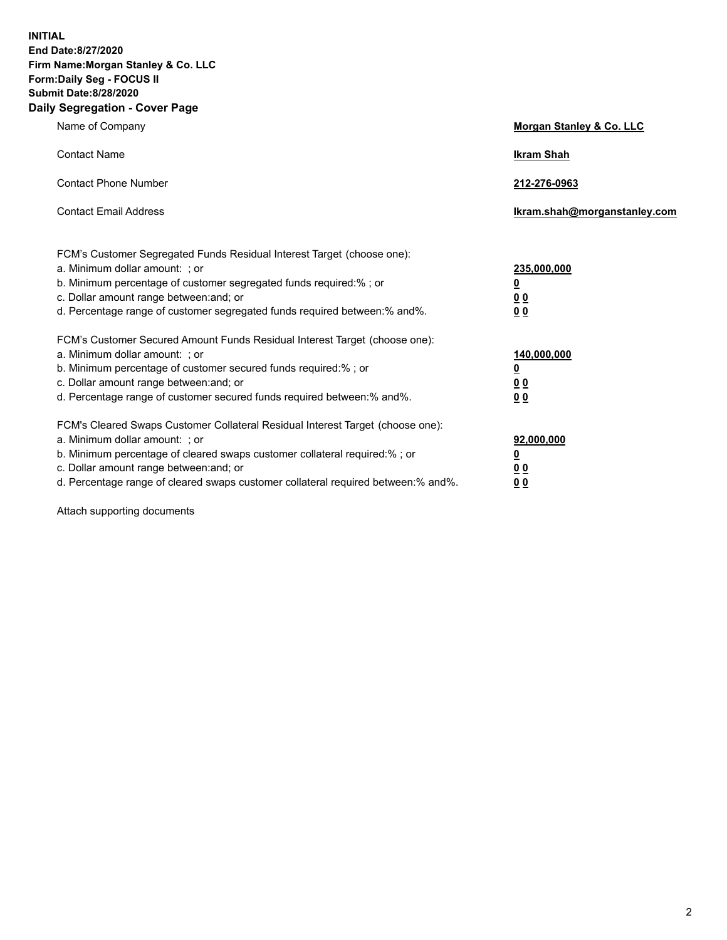**INITIAL End Date:8/27/2020 Firm Name:Morgan Stanley & Co. LLC Form:Daily Seg - FOCUS II Submit Date:8/28/2020 Daily Segregation - Cover Page**

| Name of Company                                                                                                                                                                                                                                                                                                                | Morgan Stanley & Co. LLC                                |
|--------------------------------------------------------------------------------------------------------------------------------------------------------------------------------------------------------------------------------------------------------------------------------------------------------------------------------|---------------------------------------------------------|
| <b>Contact Name</b>                                                                                                                                                                                                                                                                                                            | <b>Ikram Shah</b>                                       |
| <b>Contact Phone Number</b>                                                                                                                                                                                                                                                                                                    | 212-276-0963                                            |
| <b>Contact Email Address</b>                                                                                                                                                                                                                                                                                                   | Ikram.shah@morganstanley.com                            |
| FCM's Customer Segregated Funds Residual Interest Target (choose one):<br>a. Minimum dollar amount: ; or<br>b. Minimum percentage of customer segregated funds required:% ; or<br>c. Dollar amount range between: and; or<br>d. Percentage range of customer segregated funds required between:% and%.                         | 235,000,000<br><u>0</u><br><u>00</u><br><u>00</u>       |
| FCM's Customer Secured Amount Funds Residual Interest Target (choose one):<br>a. Minimum dollar amount: ; or<br>b. Minimum percentage of customer secured funds required:%; or<br>c. Dollar amount range between: and; or<br>d. Percentage range of customer secured funds required between:% and%.                            | 140,000,000<br><u>0</u><br><u>0 0</u><br>0 <sub>0</sub> |
| FCM's Cleared Swaps Customer Collateral Residual Interest Target (choose one):<br>a. Minimum dollar amount: ; or<br>b. Minimum percentage of cleared swaps customer collateral required:% ; or<br>c. Dollar amount range between: and; or<br>d. Percentage range of cleared swaps customer collateral required between:% and%. | 92,000,000<br><u>0</u><br><u>00</u><br>00               |

Attach supporting documents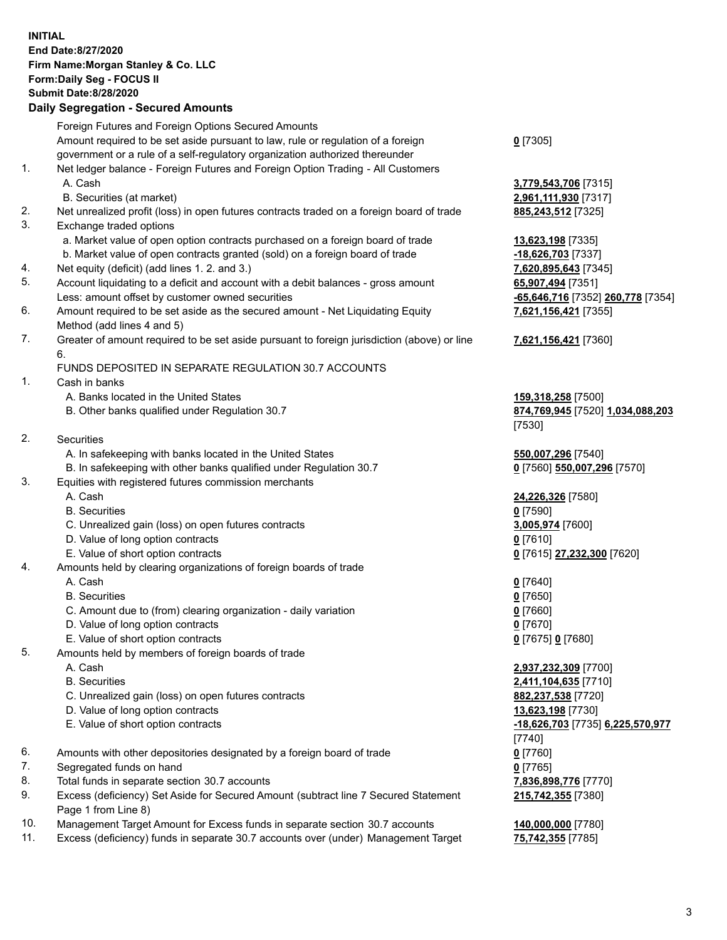## **INITIAL End Date:8/27/2020 Firm Name:Morgan Stanley & Co. LLC Form:Daily Seg - FOCUS II Submit Date:8/28/2020**

## **Daily Segregation - Secured Amounts**

|     | Foreign Futures and Foreign Options Secured Amounts                                               |                                            |
|-----|---------------------------------------------------------------------------------------------------|--------------------------------------------|
|     | Amount required to be set aside pursuant to law, rule or regulation of a foreign                  | $0$ [7305]                                 |
|     | government or a rule of a self-regulatory organization authorized thereunder                      |                                            |
| 1.  | Net ledger balance - Foreign Futures and Foreign Option Trading - All Customers                   |                                            |
|     | A. Cash                                                                                           | 3,779,543,706 [7315]                       |
|     | B. Securities (at market)                                                                         | 2,961,111,930 [7317]                       |
| 2.  | Net unrealized profit (loss) in open futures contracts traded on a foreign board of trade         | 885,243,512 [7325]                         |
| 3.  | Exchange traded options                                                                           |                                            |
|     | a. Market value of open option contracts purchased on a foreign board of trade                    | 13,623,198 [7335]                          |
|     | b. Market value of open contracts granted (sold) on a foreign board of trade                      | -18,626,703 [7337]                         |
| 4.  | Net equity (deficit) (add lines 1. 2. and 3.)                                                     | 7,620,895,643 [7345]                       |
| 5.  | Account liquidating to a deficit and account with a debit balances - gross amount                 | 65,907,494 [7351]                          |
|     | Less: amount offset by customer owned securities                                                  | -65,646,716 [7352] 260,778 [7354]          |
| 6.  | Amount required to be set aside as the secured amount - Net Liquidating Equity                    | 7,621,156,421 [7355]                       |
|     | Method (add lines 4 and 5)                                                                        |                                            |
| 7.  | Greater of amount required to be set aside pursuant to foreign jurisdiction (above) or line<br>6. | 7,621,156,421 [7360]                       |
|     | FUNDS DEPOSITED IN SEPARATE REGULATION 30.7 ACCOUNTS                                              |                                            |
| 1.  | Cash in banks                                                                                     |                                            |
|     | A. Banks located in the United States                                                             | 159,318,258 [7500]                         |
|     | B. Other banks qualified under Regulation 30.7                                                    | 874,769,945 [7520] 1,034,088,203           |
|     |                                                                                                   | [7530]                                     |
| 2.  | <b>Securities</b>                                                                                 |                                            |
|     | A. In safekeeping with banks located in the United States                                         | 550,007,296 [7540]                         |
|     | B. In safekeeping with other banks qualified under Regulation 30.7                                | 0 [7560] 550,007,296 [7570]                |
| 3.  | Equities with registered futures commission merchants                                             |                                            |
|     | A. Cash                                                                                           | 24,226,326 [7580]                          |
|     | <b>B.</b> Securities                                                                              | $0$ [7590]                                 |
|     | C. Unrealized gain (loss) on open futures contracts                                               | 3,005,974 [7600]                           |
|     | D. Value of long option contracts                                                                 | $0$ [7610]                                 |
|     | E. Value of short option contracts                                                                | 0 [7615] 27,232,300 [7620]                 |
| 4.  | Amounts held by clearing organizations of foreign boards of trade                                 |                                            |
|     | A. Cash                                                                                           | $0$ [7640]                                 |
|     | <b>B.</b> Securities                                                                              | $0$ [7650]                                 |
|     | C. Amount due to (from) clearing organization - daily variation                                   | $0$ [7660]                                 |
|     | D. Value of long option contracts                                                                 | $0$ [7670]                                 |
|     | E. Value of short option contracts                                                                | 0 [7675] 0 [7680]                          |
| 5.  | Amounts held by members of foreign boards of trade                                                |                                            |
|     | A. Cash                                                                                           | 2,937,232,309 [7700]                       |
|     | <b>B.</b> Securities                                                                              | 2,411,104,635 [7710]                       |
|     | C. Unrealized gain (loss) on open futures contracts                                               | 882,237,538 [7720]                         |
|     | D. Value of long option contracts<br>E. Value of short option contracts                           | 13,623,198 [7730]                          |
|     |                                                                                                   | -18,626,703 [7735] 6,225,570,977<br>[7740] |
| 6.  | Amounts with other depositories designated by a foreign board of trade                            | $0$ [7760]                                 |
| 7.  | Segregated funds on hand                                                                          | $0$ [7765]                                 |
| 8.  | Total funds in separate section 30.7 accounts                                                     | 7,836,898,776 [7770]                       |
| 9.  | Excess (deficiency) Set Aside for Secured Amount (subtract line 7 Secured Statement               | 215,742,355 [7380]                         |
|     | Page 1 from Line 8)                                                                               |                                            |
| 10. | Management Target Amount for Excess funds in separate section 30.7 accounts                       | 140,000,000 [7780]                         |

11. Excess (deficiency) funds in separate 30.7 accounts over (under) Management Target **75,742,355** [7785]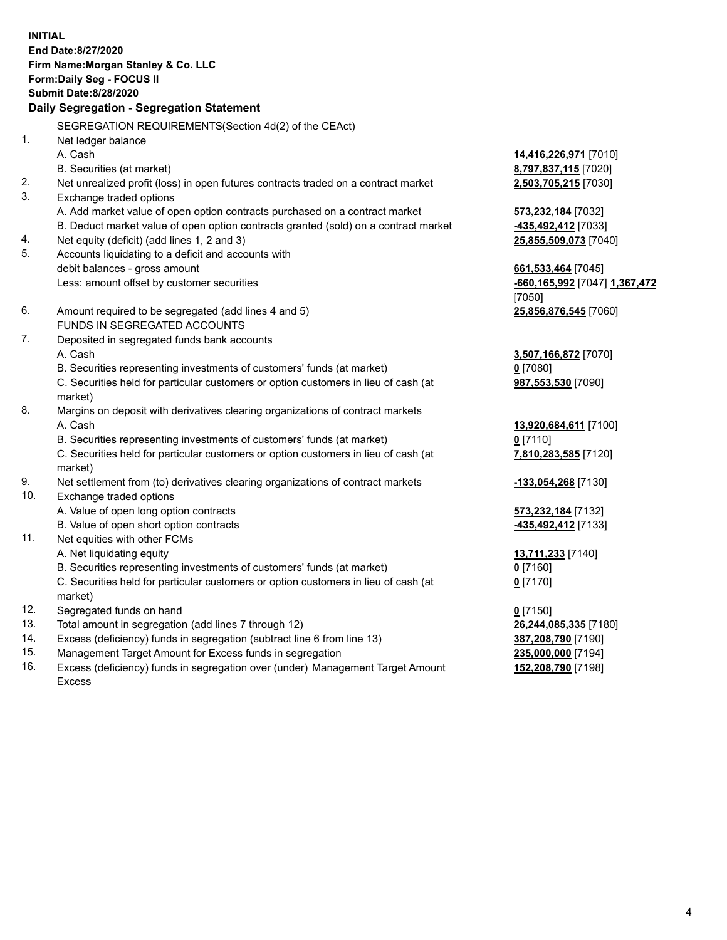**INITIAL End Date:8/27/2020 Firm Name:Morgan Stanley & Co. LLC Form:Daily Seg - FOCUS II Submit Date:8/28/2020 Daily Segregation - Segregation Statement** SEGREGATION REQUIREMENTS(Section 4d(2) of the CEAct) 1. Net ledger balance A. Cash **14,416,226,971** [7010] B. Securities (at market) **8,797,837,115** [7020] 2. Net unrealized profit (loss) in open futures contracts traded on a contract market **2,503,705,215** [7030] 3. Exchange traded options A. Add market value of open option contracts purchased on a contract market **573,232,184** [7032] B. Deduct market value of open option contracts granted (sold) on a contract market **-435,492,412** [7033] 4. Net equity (deficit) (add lines 1, 2 and 3) **25,855,509,073** [7040] 5. Accounts liquidating to a deficit and accounts with debit balances - gross amount **661,533,464** [7045] Less: amount offset by customer securities **-660,165,992** [7047] **1,367,472** [7050] 6. Amount required to be segregated (add lines 4 and 5) **25,856,876,545** [7060] FUNDS IN SEGREGATED ACCOUNTS 7. Deposited in segregated funds bank accounts A. Cash **3,507,166,872** [7070] B. Securities representing investments of customers' funds (at market) **0** [7080] C. Securities held for particular customers or option customers in lieu of cash (at market) **987,553,530** [7090] 8. Margins on deposit with derivatives clearing organizations of contract markets A. Cash **13,920,684,611** [7100] B. Securities representing investments of customers' funds (at market) **0** [7110] C. Securities held for particular customers or option customers in lieu of cash (at market) **7,810,283,585** [7120] 9. Net settlement from (to) derivatives clearing organizations of contract markets **-133,054,268** [7130] 10. Exchange traded options A. Value of open long option contracts **573,232,184** [7132] B. Value of open short option contracts **and the set of our of the set of our of the set of the set of the set of the set of the set of the set of the set of the set of the set of the set of the set of the set of the set o** 11. Net equities with other FCMs A. Net liquidating equity **13,711,233** [7140] B. Securities representing investments of customers' funds (at market) **0** [7160] C. Securities held for particular customers or option customers in lieu of cash (at market) **0** [7170] 12. Segregated funds on hand **0** [7150] 13. Total amount in segregation (add lines 7 through 12) **26,244,085,335** [7180] 14. Excess (deficiency) funds in segregation (subtract line 6 from line 13) **387,208,790** [7190] 15. Management Target Amount for Excess funds in segregation **235,000,000** [7194]

16. Excess (deficiency) funds in segregation over (under) Management Target Amount Excess

**152,208,790** [7198]